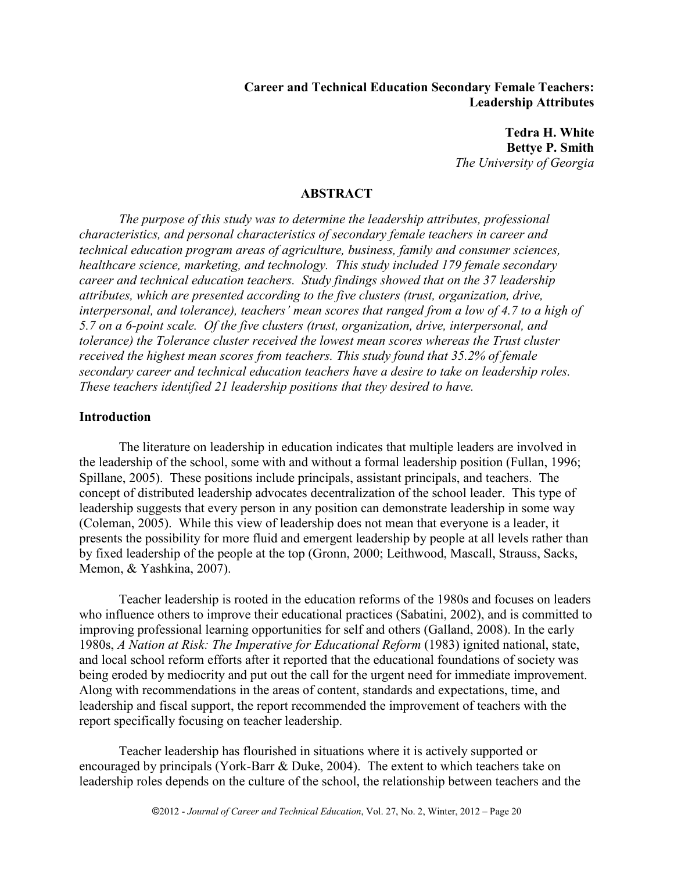### **Career and Technical Education Secondary Female Teachers: Leadership Attributes**

**Tedra H. White Bettye P. Smith** *The University of Georgia*

### **ABSTRACT**

*The purpose of this study was to determine the leadership attributes, professional characteristics, and personal characteristics of secondary female teachers in career and technical education program areas of agriculture, business, family and consumer sciences, healthcare science, marketing, and technology. This study included 179 female secondary career and technical education teachers. Study findings showed that on the 37 leadership attributes, which are presented according to the five clusters (trust, organization, drive, interpersonal, and tolerance), teachers' mean scores that ranged from a low of 4.7 to a high of 5.7 on a 6-point scale. Of the five clusters (trust, organization, drive, interpersonal, and tolerance) the Tolerance cluster received the lowest mean scores whereas the Trust cluster received the highest mean scores from teachers. This study found that 35.2% of female secondary career and technical education teachers have a desire to take on leadership roles. These teachers identified 21 leadership positions that they desired to have.* 

#### **Introduction**

The literature on leadership in education indicates that multiple leaders are involved in the leadership of the school, some with and without a formal leadership position (Fullan, 1996; Spillane, 2005). These positions include principals, assistant principals, and teachers. The concept of distributed leadership advocates decentralization of the school leader. This type of leadership suggests that every person in any position can demonstrate leadership in some way (Coleman, 2005). While this view of leadership does not mean that everyone is a leader, it presents the possibility for more fluid and emergent leadership by people at all levels rather than by fixed leadership of the people at the top (Gronn, 2000; Leithwood, Mascall, Strauss, Sacks, Memon, & Yashkina, 2007).

Teacher leadership is rooted in the education reforms of the 1980s and focuses on leaders who influence others to improve their educational practices (Sabatini, 2002), and is committed to improving professional learning opportunities for self and others (Galland, 2008). In the early 1980s, *A Nation at Risk: The Imperative for Educational Reform* (1983) ignited national, state, and local school reform efforts after it reported that the educational foundations of society was being eroded by mediocrity and put out the call for the urgent need for immediate improvement. Along with recommendations in the areas of content, standards and expectations, time, and leadership and fiscal support, the report recommended the improvement of teachers with the report specifically focusing on teacher leadership.

Teacher leadership has flourished in situations where it is actively supported or encouraged by principals (York-Barr & Duke, 2004). The extent to which teachers take on leadership roles depends on the culture of the school, the relationship between teachers and the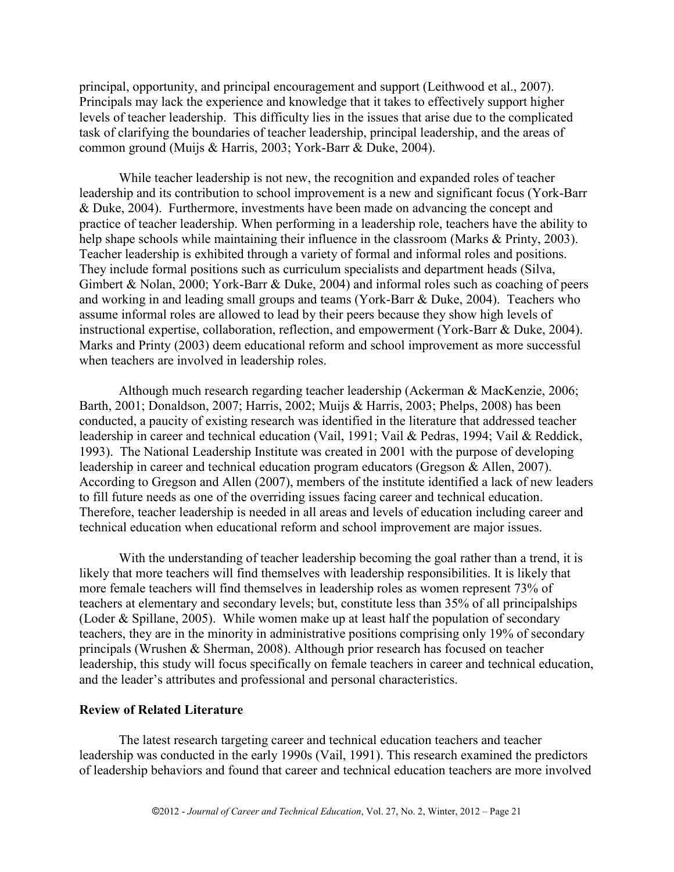principal, opportunity, and principal encouragement and support (Leithwood et al., 2007). Principals may lack the experience and knowledge that it takes to effectively support higher levels of teacher leadership. This difficulty lies in the issues that arise due to the complicated task of clarifying the boundaries of teacher leadership, principal leadership, and the areas of common ground (Muijs & Harris, 2003; York-Barr & Duke, 2004).

While teacher leadership is not new, the recognition and expanded roles of teacher leadership and its contribution to school improvement is a new and significant focus (York-Barr & Duke, 2004). Furthermore, investments have been made on advancing the concept and practice of teacher leadership. When performing in a leadership role, teachers have the ability to help shape schools while maintaining their influence in the classroom (Marks & Printy, 2003). Teacher leadership is exhibited through a variety of formal and informal roles and positions. They include formal positions such as curriculum specialists and department heads (Silva, Gimbert & Nolan, 2000; York-Barr & Duke, 2004) and informal roles such as coaching of peers and working in and leading small groups and teams (York-Barr & Duke, 2004). Teachers who assume informal roles are allowed to lead by their peers because they show high levels of instructional expertise, collaboration, reflection, and empowerment (York-Barr & Duke, 2004). Marks and Printy (2003) deem educational reform and school improvement as more successful when teachers are involved in leadership roles.

Although much research regarding teacher leadership (Ackerman & MacKenzie, 2006; Barth, 2001; Donaldson, 2007; Harris, 2002; Muijs & Harris, 2003; Phelps, 2008) has been conducted, a paucity of existing research was identified in the literature that addressed teacher leadership in career and technical education (Vail, 1991; Vail & Pedras, 1994; Vail & Reddick, 1993). The National Leadership Institute was created in 2001 with the purpose of developing leadership in career and technical education program educators (Gregson & Allen, 2007). According to Gregson and Allen (2007), members of the institute identified a lack of new leaders to fill future needs as one of the overriding issues facing career and technical education. Therefore, teacher leadership is needed in all areas and levels of education including career and technical education when educational reform and school improvement are major issues.

With the understanding of teacher leadership becoming the goal rather than a trend, it is likely that more teachers will find themselves with leadership responsibilities. It is likely that more female teachers will find themselves in leadership roles as women represent 73% of teachers at elementary and secondary levels; but, constitute less than 35% of all principalships (Loder & Spillane, 2005). While women make up at least half the population of secondary teachers, they are in the minority in administrative positions comprising only 19% of secondary principals (Wrushen & Sherman, 2008). Although prior research has focused on teacher leadership, this study will focus specifically on female teachers in career and technical education, and the leader's attributes and professional and personal characteristics.

### **Review of Related Literature**

The latest research targeting career and technical education teachers and teacher leadership was conducted in the early 1990s (Vail, 1991). This research examined the predictors of leadership behaviors and found that career and technical education teachers are more involved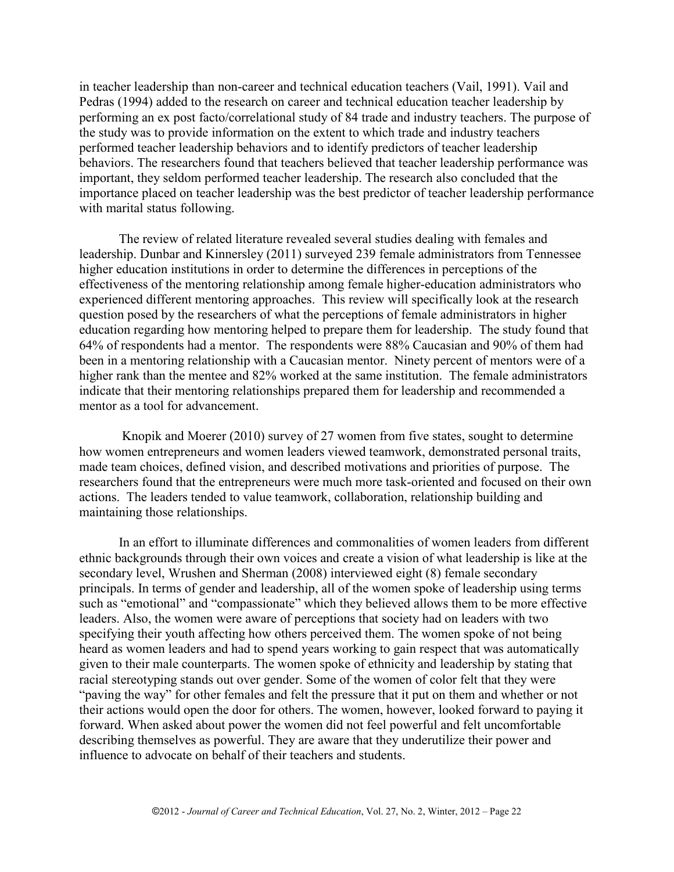in teacher leadership than non-career and technical education teachers (Vail, 1991). Vail and Pedras (1994) added to the research on career and technical education teacher leadership by performing an ex post facto/correlational study of 84 trade and industry teachers. The purpose of the study was to provide information on the extent to which trade and industry teachers performed teacher leadership behaviors and to identify predictors of teacher leadership behaviors. The researchers found that teachers believed that teacher leadership performance was important, they seldom performed teacher leadership. The research also concluded that the importance placed on teacher leadership was the best predictor of teacher leadership performance with marital status following.

The review of related literature revealed several studies dealing with females and leadership. Dunbar and Kinnersley (2011) surveyed 239 female administrators from Tennessee higher education institutions in order to determine the differences in perceptions of the effectiveness of the mentoring relationship among female higher-education administrators who experienced different mentoring approaches. This review will specifically look at the research question posed by the researchers of what the perceptions of female administrators in higher education regarding how mentoring helped to prepare them for leadership. The study found that 64% of respondents had a mentor. The respondents were 88% Caucasian and 90% of them had been in a mentoring relationship with a Caucasian mentor. Ninety percent of mentors were of a higher rank than the mentee and 82% worked at the same institution. The female administrators indicate that their mentoring relationships prepared them for leadership and recommended a mentor as a tool for advancement.

Knopik and Moerer (2010) survey of 27 women from five states, sought to determine how women entrepreneurs and women leaders viewed teamwork, demonstrated personal traits, made team choices, defined vision, and described motivations and priorities of purpose. The researchers found that the entrepreneurs were much more task-oriented and focused on their own actions. The leaders tended to value teamwork, collaboration, relationship building and maintaining those relationships.

In an effort to illuminate differences and commonalities of women leaders from different ethnic backgrounds through their own voices and create a vision of what leadership is like at the secondary level, Wrushen and Sherman (2008) interviewed eight (8) female secondary principals. In terms of gender and leadership, all of the women spoke of leadership using terms such as "emotional" and "compassionate" which they believed allows them to be more effective leaders. Also, the women were aware of perceptions that society had on leaders with two specifying their youth affecting how others perceived them. The women spoke of not being heard as women leaders and had to spend years working to gain respect that was automatically given to their male counterparts. The women spoke of ethnicity and leadership by stating that racial stereotyping stands out over gender. Some of the women of color felt that they were "paving the way" for other females and felt the pressure that it put on them and whether or not their actions would open the door for others. The women, however, looked forward to paying it forward. When asked about power the women did not feel powerful and felt uncomfortable describing themselves as powerful. They are aware that they underutilize their power and influence to advocate on behalf of their teachers and students.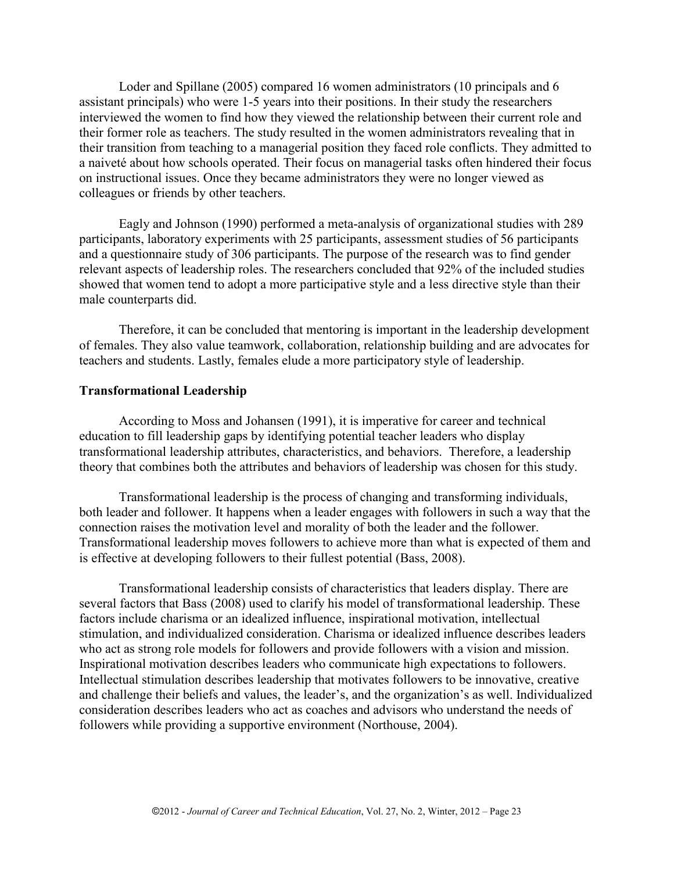Loder and Spillane (2005) compared 16 women administrators (10 principals and 6 assistant principals) who were 1-5 years into their positions. In their study the researchers interviewed the women to find how they viewed the relationship between their current role and their former role as teachers. The study resulted in the women administrators revealing that in their transition from teaching to a managerial position they faced role conflicts. They admitted to a naiveté about how schools operated. Their focus on managerial tasks often hindered their focus on instructional issues. Once they became administrators they were no longer viewed as colleagues or friends by other teachers.

Eagly and Johnson (1990) performed a meta-analysis of organizational studies with 289 participants, laboratory experiments with 25 participants, assessment studies of 56 participants and a questionnaire study of 306 participants. The purpose of the research was to find gender relevant aspects of leadership roles. The researchers concluded that 92% of the included studies showed that women tend to adopt a more participative style and a less directive style than their male counterparts did.

Therefore, it can be concluded that mentoring is important in the leadership development of females. They also value teamwork, collaboration, relationship building and are advocates for teachers and students. Lastly, females elude a more participatory style of leadership.

### **Transformational Leadership**

According to Moss and Johansen (1991), it is imperative for career and technical education to fill leadership gaps by identifying potential teacher leaders who display transformational leadership attributes, characteristics, and behaviors. Therefore, a leadership theory that combines both the attributes and behaviors of leadership was chosen for this study.

Transformational leadership is the process of changing and transforming individuals, both leader and follower. It happens when a leader engages with followers in such a way that the connection raises the motivation level and morality of both the leader and the follower. Transformational leadership moves followers to achieve more than what is expected of them and is effective at developing followers to their fullest potential (Bass, 2008).

Transformational leadership consists of characteristics that leaders display. There are several factors that Bass (2008) used to clarify his model of transformational leadership. These factors include charisma or an idealized influence, inspirational motivation, intellectual stimulation, and individualized consideration. Charisma or idealized influence describes leaders who act as strong role models for followers and provide followers with a vision and mission. Inspirational motivation describes leaders who communicate high expectations to followers. Intellectual stimulation describes leadership that motivates followers to be innovative, creative and challenge their beliefs and values, the leader's, and the organization's as well. Individualized consideration describes leaders who act as coaches and advisors who understand the needs of followers while providing a supportive environment (Northouse, 2004).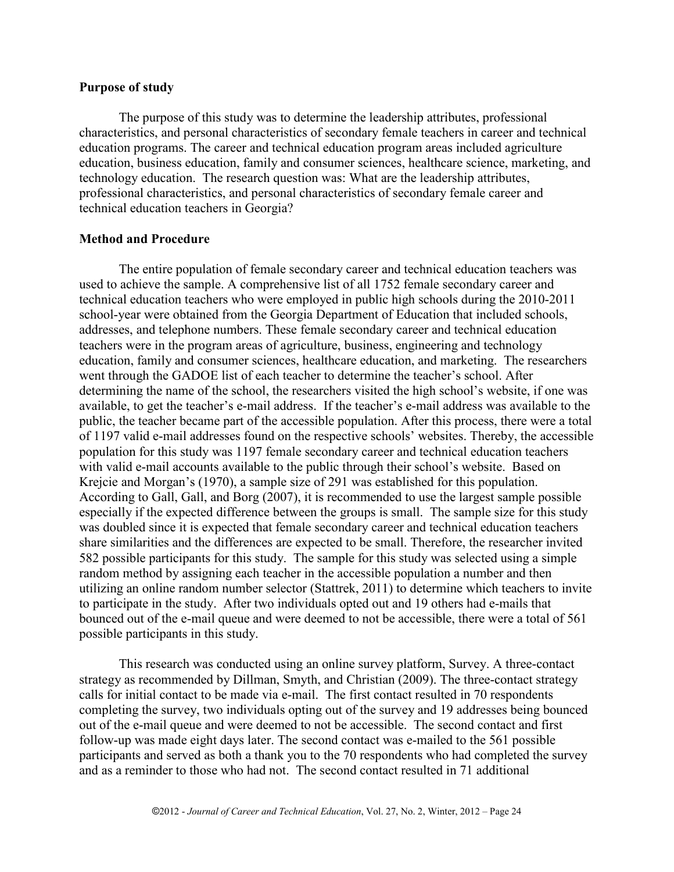### **Purpose of study**

The purpose of this study was to determine the leadership attributes, professional characteristics, and personal characteristics of secondary female teachers in career and technical education programs. The career and technical education program areas included agriculture education, business education, family and consumer sciences, healthcare science, marketing, and technology education. The research question was: What are the leadership attributes, professional characteristics, and personal characteristics of secondary female career and technical education teachers in Georgia?

## **Method and Procedure**

The entire population of female secondary career and technical education teachers was used to achieve the sample. A comprehensive list of all 1752 female secondary career and technical education teachers who were employed in public high schools during the 2010-2011 school-year were obtained from the Georgia Department of Education that included schools, addresses, and telephone numbers. These female secondary career and technical education teachers were in the program areas of agriculture, business, engineering and technology education, family and consumer sciences, healthcare education, and marketing. The researchers went through the GADOE list of each teacher to determine the teacher's school. After determining the name of the school, the researchers visited the high school's website, if one was available, to get the teacher's e-mail address. If the teacher's e-mail address was available to the public, the teacher became part of the accessible population. After this process, there were a total of 1197 valid e-mail addresses found on the respective schools' websites. Thereby, the accessible population for this study was 1197 female secondary career and technical education teachers with valid e-mail accounts available to the public through their school's website. Based on Krejcie and Morgan's (1970), a sample size of 291 was established for this population. According to Gall, Gall, and Borg (2007), it is recommended to use the largest sample possible especially if the expected difference between the groups is small. The sample size for this study was doubled since it is expected that female secondary career and technical education teachers share similarities and the differences are expected to be small. Therefore, the researcher invited 582 possible participants for this study. The sample for this study was selected using a simple random method by assigning each teacher in the accessible population a number and then utilizing an online random number selector (Stattrek, 2011) to determine which teachers to invite to participate in the study. After two individuals opted out and 19 others had e-mails that bounced out of the e-mail queue and were deemed to not be accessible, there were a total of 561 possible participants in this study.

This research was conducted using an online survey platform, Survey. A three-contact strategy as recommended by Dillman, Smyth, and Christian (2009). The three-contact strategy calls for initial contact to be made via e-mail. The first contact resulted in 70 respondents completing the survey, two individuals opting out of the survey and 19 addresses being bounced out of the e-mail queue and were deemed to not be accessible. The second contact and first follow-up was made eight days later. The second contact was e-mailed to the 561 possible participants and served as both a thank you to the 70 respondents who had completed the survey and as a reminder to those who had not. The second contact resulted in 71 additional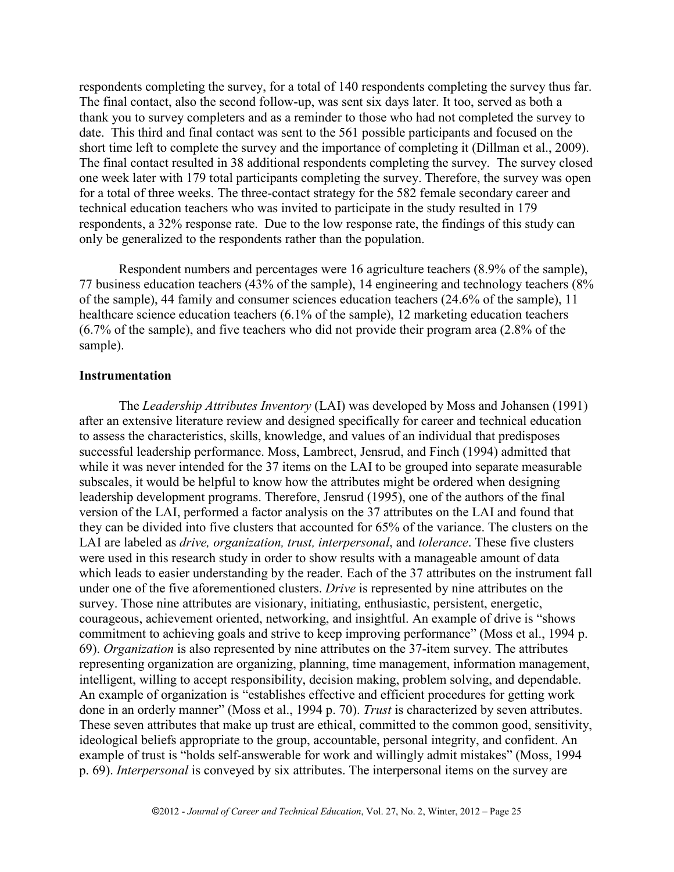respondents completing the survey, for a total of 140 respondents completing the survey thus far. The final contact, also the second follow-up, was sent six days later. It too, served as both a thank you to survey completers and as a reminder to those who had not completed the survey to date. This third and final contact was sent to the 561 possible participants and focused on the short time left to complete the survey and the importance of completing it (Dillman et al., 2009). The final contact resulted in 38 additional respondents completing the survey. The survey closed one week later with 179 total participants completing the survey. Therefore, the survey was open for a total of three weeks. The three-contact strategy for the 582 female secondary career and technical education teachers who was invited to participate in the study resulted in 179 respondents, a 32% response rate. Due to the low response rate, the findings of this study can only be generalized to the respondents rather than the population.

Respondent numbers and percentages were 16 agriculture teachers (8.9% of the sample), 77 business education teachers (43% of the sample), 14 engineering and technology teachers (8% of the sample), 44 family and consumer sciences education teachers (24.6% of the sample), 11 healthcare science education teachers (6.1% of the sample), 12 marketing education teachers (6.7% of the sample), and five teachers who did not provide their program area (2.8% of the sample).

### **Instrumentation**

The *Leadership Attributes Inventory* (LAI) was developed by Moss and Johansen (1991) after an extensive literature review and designed specifically for career and technical education to assess the characteristics, skills, knowledge, and values of an individual that predisposes successful leadership performance. Moss, Lambrect, Jensrud, and Finch (1994) admitted that while it was never intended for the 37 items on the LAI to be grouped into separate measurable subscales, it would be helpful to know how the attributes might be ordered when designing leadership development programs. Therefore, Jensrud (1995), one of the authors of the final version of the LAI, performed a factor analysis on the 37 attributes on the LAI and found that they can be divided into five clusters that accounted for 65% of the variance. The clusters on the LAI are labeled as *drive, organization, trust, interpersonal*, and *tolerance*. These five clusters were used in this research study in order to show results with a manageable amount of data which leads to easier understanding by the reader. Each of the 37 attributes on the instrument fall under one of the five aforementioned clusters. *Drive* is represented by nine attributes on the survey. Those nine attributes are visionary, initiating, enthusiastic, persistent, energetic, courageous, achievement oriented, networking, and insightful. An example of drive is "shows commitment to achieving goals and strive to keep improving performance" (Moss et al., 1994 p. 69). *Organization* is also represented by nine attributes on the 37-item survey. The attributes representing organization are organizing, planning, time management, information management, intelligent, willing to accept responsibility, decision making, problem solving, and dependable. An example of organization is "establishes effective and efficient procedures for getting work done in an orderly manner" (Moss et al., 1994 p. 70). *Trust* is characterized by seven attributes. These seven attributes that make up trust are ethical, committed to the common good, sensitivity, ideological beliefs appropriate to the group, accountable, personal integrity, and confident. An example of trust is "holds self-answerable for work and willingly admit mistakes" (Moss, 1994 p. 69). *Interpersonal* is conveyed by six attributes. The interpersonal items on the survey are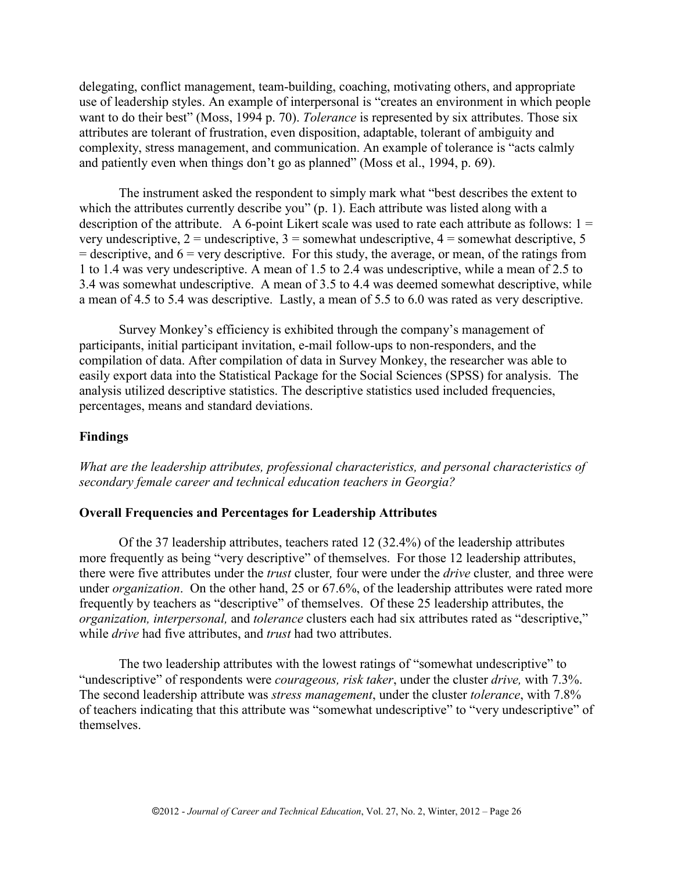delegating, conflict management, team-building, coaching, motivating others, and appropriate use of leadership styles. An example of interpersonal is "creates an environment in which people want to do their best" (Moss, 1994 p. 70). *Tolerance* is represented by six attributes. Those six attributes are tolerant of frustration, even disposition, adaptable, tolerant of ambiguity and complexity, stress management, and communication. An example of tolerance is "acts calmly and patiently even when things don't go as planned" (Moss et al., 1994, p. 69).

The instrument asked the respondent to simply mark what "best describes the extent to which the attributes currently describe you" (p. 1). Each attribute was listed along with a description of the attribute. A 6-point Likert scale was used to rate each attribute as follows:  $1 =$ very undescriptive,  $2 =$  undescriptive,  $3 =$  somewhat undescriptive,  $4 =$  somewhat descriptive,  $5 =$  $=$  descriptive, and  $6 =$  very descriptive. For this study, the average, or mean, of the ratings from 1 to 1.4 was very undescriptive. A mean of 1.5 to 2.4 was undescriptive, while a mean of 2.5 to 3.4 was somewhat undescriptive. A mean of 3.5 to 4.4 was deemed somewhat descriptive, while a mean of 4.5 to 5.4 was descriptive. Lastly, a mean of 5.5 to 6.0 was rated as very descriptive.

Survey Monkey's efficiency is exhibited through the company's management of participants, initial participant invitation, e-mail follow-ups to non-responders, and the compilation of data. After compilation of data in Survey Monkey, the researcher was able to easily export data into the Statistical Package for the Social Sciences (SPSS) for analysis. The analysis utilized descriptive statistics. The descriptive statistics used included frequencies, percentages, means and standard deviations.

### **Findings**

*What are the leadership attributes, professional characteristics, and personal characteristics of secondary female career and technical education teachers in Georgia?*

### **Overall Frequencies and Percentages for Leadership Attributes**

Of the 37 leadership attributes, teachers rated 12 (32.4%) of the leadership attributes more frequently as being "very descriptive" of themselves. For those 12 leadership attributes, there were five attributes under the *trust* cluster*,* four were under the *drive* cluster*,* and three were under *organization*. On the other hand, 25 or 67.6%, of the leadership attributes were rated more frequently by teachers as "descriptive" of themselves. Of these 25 leadership attributes, the *organization, interpersonal,* and *tolerance* clusters each had six attributes rated as "descriptive," while *drive* had five attributes, and *trust* had two attributes.

The two leadership attributes with the lowest ratings of "somewhat undescriptive" to "undescriptive" of respondents were *courageous, risk taker*, under the cluster *drive,* with 7.3%. The second leadership attribute was *stress management*, under the cluster *tolerance*, with 7.8% of teachers indicating that this attribute was "somewhat undescriptive" to "very undescriptive" of themselves.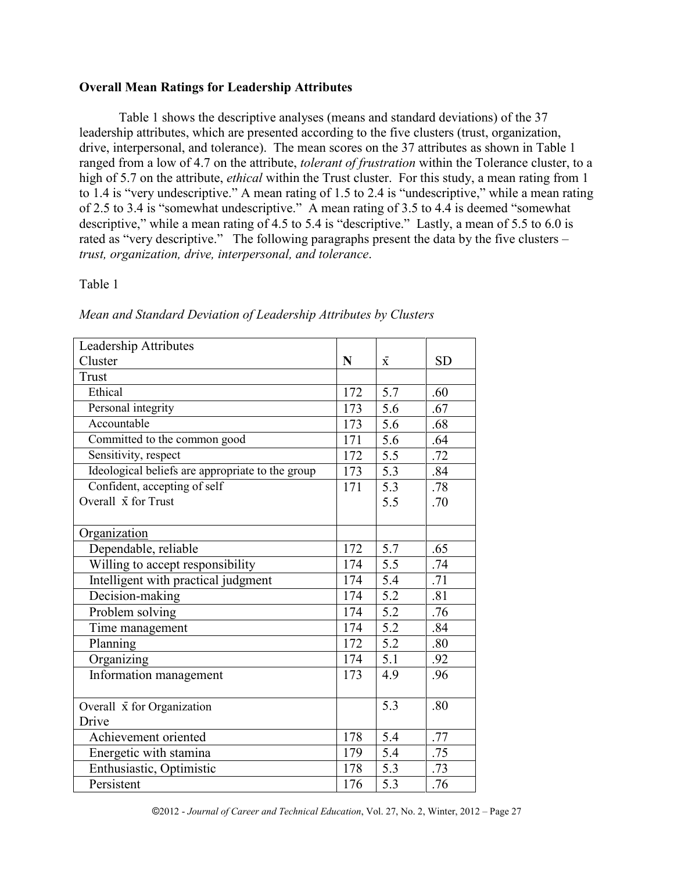## **Overall Mean Ratings for Leadership Attributes**

Table 1 shows the descriptive analyses (means and standard deviations) of the 37 leadership attributes, which are presented according to the five clusters (trust, organization, drive, interpersonal, and tolerance). The mean scores on the 37 attributes as shown in Table 1 ranged from a low of 4.7 on the attribute, *tolerant of frustration* within the Tolerance cluster, to a high of 5.7 on the attribute, *ethical* within the Trust cluster. For this study, a mean rating from 1 to 1.4 is "very undescriptive." A mean rating of 1.5 to 2.4 is "undescriptive," while a mean rating of 2.5 to 3.4 is "somewhat undescriptive." A mean rating of 3.5 to 4.4 is deemed "somewhat descriptive," while a mean rating of 4.5 to 5.4 is "descriptive." Lastly, a mean of 5.5 to 6.0 is rated as "very descriptive." The following paragraphs present the data by the five clusters – *trust, organization, drive, interpersonal, and tolerance*.

Table 1

| Leadership Attributes                            |                  |                  |           |
|--------------------------------------------------|------------------|------------------|-----------|
| Cluster                                          | N                | $\bar{x}$        | <b>SD</b> |
| <b>Trust</b>                                     |                  |                  |           |
| Ethical                                          | 172              | 5.7              | .60       |
| Personal integrity                               | 173              | 5.6              | .67       |
| Accountable                                      | 173              | 5.6              | .68       |
| Committed to the common good                     | 171              | 5.6              | .64       |
| Sensitivity, respect                             | 172              | $\overline{5.5}$ | .72       |
| Ideological beliefs are appropriate to the group | 173              | 5.3              | .84       |
| Confident, accepting of self                     | $\overline{171}$ | $\overline{5.3}$ | .78       |
| Overall $\bar{x}$ for Trust                      |                  | 5.5              | .70       |
|                                                  |                  |                  |           |
| Organization                                     |                  |                  |           |
| Dependable, reliable                             | 172              | 5.7              | .65       |
| Willing to accept responsibility                 | 174              | $\overline{5.5}$ | .74       |
| Intelligent with practical judgment              | 174              | 5.4              | .71       |
| Decision-making                                  | 174              | $\overline{5.2}$ | .81       |
| Problem solving                                  | 174              | 5.2              | .76       |
| Time management                                  | 174              | $\overline{5.2}$ | .84       |
| Planning                                         | 172              | 5.2              | .80       |
| Organizing                                       | 174              | 5.1              | .92       |
| Information management                           | 173              | $\overline{4.9}$ | .96       |
|                                                  |                  |                  |           |
| Overall $\bar{x}$ for Organization               |                  | 5.3              | .80       |
| Drive                                            |                  |                  |           |
| Achievement oriented                             | 178              | 5.4              | .77       |
| Energetic with stamina                           | 179              | 5.4              | .75       |
| Enthusiastic, Optimistic                         | 178              | $\overline{5.3}$ | .73       |
| Persistent                                       | 176              | 5.3              | .76       |

*Mean and Standard Deviation of Leadership Attributes by Clusters*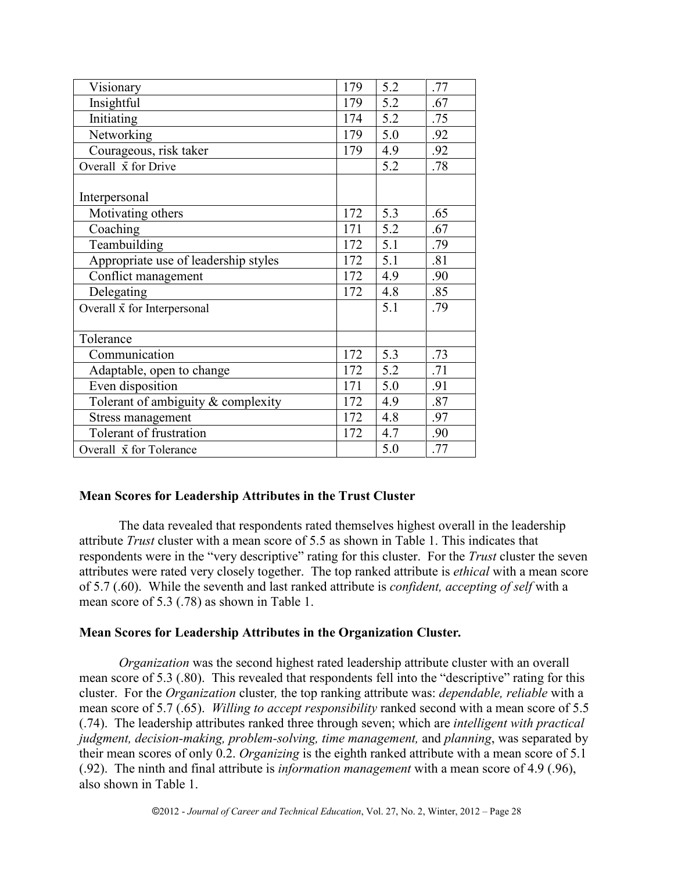| Visionary                            | 179 | 5.2 | .77 |
|--------------------------------------|-----|-----|-----|
| Insightful                           | 179 | 5.2 | .67 |
| Initiating                           | 174 | 5.2 | .75 |
| Networking                           | 179 | 5.0 | .92 |
| Courageous, risk taker               | 179 | 4.9 | .92 |
| Overall $\bar{x}$ for Drive          |     | 5.2 | .78 |
| Interpersonal                        |     |     |     |
| Motivating others                    | 172 | 5.3 | .65 |
| Coaching                             | 171 | 5.2 | .67 |
| Teambuilding                         | 172 | 5.1 | .79 |
| Appropriate use of leadership styles | 172 | 5.1 | .81 |
| Conflict management                  | 172 | 4.9 | .90 |
| Delegating                           | 172 | 4.8 | .85 |
| Overall $\bar{x}$ for Interpersonal  |     | 5.1 | .79 |
| Tolerance                            |     |     |     |
| Communication                        | 172 | 5.3 | .73 |
| Adaptable, open to change            | 172 | 5.2 | .71 |
| Even disposition                     | 171 | 5.0 | .91 |
| Tolerant of ambiguity & complexity   | 172 | 4.9 | .87 |
| Stress management                    | 172 | 4.8 | .97 |
| Tolerant of frustration              | 172 | 4.7 | .90 |
| Overall x for Tolerance              |     | 5.0 | .77 |

# **Mean Scores for Leadership Attributes in the Trust Cluster**

The data revealed that respondents rated themselves highest overall in the leadership attribute *Trust* cluster with a mean score of 5.5 as shown in Table 1. This indicates that respondents were in the "very descriptive" rating for this cluster. For the *Trust* cluster the seven attributes were rated very closely together. The top ranked attribute is *ethical* with a mean score of 5.7 (.60). While the seventh and last ranked attribute is *confident, accepting of self* with a mean score of 5.3 (.78) as shown in Table 1.

## **Mean Scores for Leadership Attributes in the Organization Cluster***.*

*Organization* was the second highest rated leadership attribute cluster with an overall mean score of 5.3 (.80). This revealed that respondents fell into the "descriptive" rating for this cluster. For the *Organization* cluster*,* the top ranking attribute was: *dependable, reliable* with a mean score of 5.7 (.65). *Willing to accept responsibility* ranked second with a mean score of 5.5 (.74). The leadership attributes ranked three through seven; which are *intelligent with practical judgment, decision-making, problem-solving, time management,* and *planning*, was separated by their mean scores of only 0.2. *Organizing* is the eighth ranked attribute with a mean score of 5.1 (.92). The ninth and final attribute is *information management* with a mean score of 4.9 (.96), also shown in Table 1.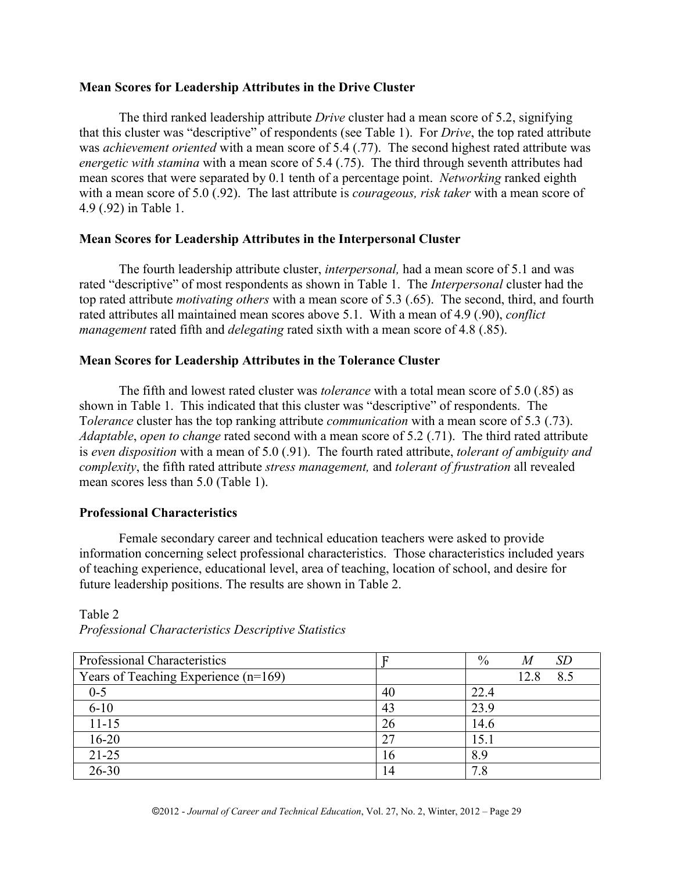## **Mean Scores for Leadership Attributes in the Drive Cluster**

The third ranked leadership attribute *Drive* cluster had a mean score of 5.2, signifying that this cluster was "descriptive" of respondents (see Table 1). For *Drive*, the top rated attribute was *achievement oriented* with a mean score of 5.4 (.77). The second highest rated attribute was *energetic with stamina* with a mean score of 5.4 (.75). The third through seventh attributes had mean scores that were separated by 0.1 tenth of a percentage point. *Networking* ranked eighth with a mean score of 5.0 (.92). The last attribute is *courageous, risk taker* with a mean score of 4.9 (.92) in Table 1.

## **Mean Scores for Leadership Attributes in the Interpersonal Cluster**

The fourth leadership attribute cluster, *interpersonal,* had a mean score of 5.1 and was rated "descriptive" of most respondents as shown in Table 1. The *Interpersonal* cluster had the top rated attribute *motivating others* with a mean score of 5.3 (.65). The second, third, and fourth rated attributes all maintained mean scores above 5.1. With a mean of 4.9 (.90), *conflict management* rated fifth and *delegating* rated sixth with a mean score of 4.8 (.85).

## **Mean Scores for Leadership Attributes in the Tolerance Cluster**

The fifth and lowest rated cluster was *tolerance* with a total mean score of 5.0 (.85) as shown in Table 1. This indicated that this cluster was "descriptive" of respondents. The T*olerance* cluster has the top ranking attribute *communication* with a mean score of 5.3 (.73). *Adaptable*, *open to change* rated second with a mean score of 5.2 (.71). The third rated attribute is *even disposition* with a mean of 5.0 (.91). The fourth rated attribute, *tolerant of ambiguity and complexity*, the fifth rated attribute *stress management,* and *tolerant of frustration* all revealed mean scores less than 5.0 (Table 1).

# **Professional Characteristics**

Table 2

Female secondary career and technical education teachers were asked to provide information concerning select professional characteristics. Those characteristics included years of teaching experience, educational level, area of teaching, location of school, and desire for future leadership positions. The results are shown in Table 2.

| Professional Characteristics         |    | $\%$<br>SD<br>M |
|--------------------------------------|----|-----------------|
| Years of Teaching Experience (n=169) |    | 8.5<br>12 8     |
| $0 - 5$                              | 40 | 22.4            |
| $6 - 10$                             | 43 | 23.9            |
| $11 - 15$                            | 26 | 14.6            |
| $16 - 20$                            | 27 | 15.1            |
| $21 - 25$                            | 16 | 8.9             |
| $26 - 30$                            | 14 |                 |

*Professional Characteristics Descriptive Statistics*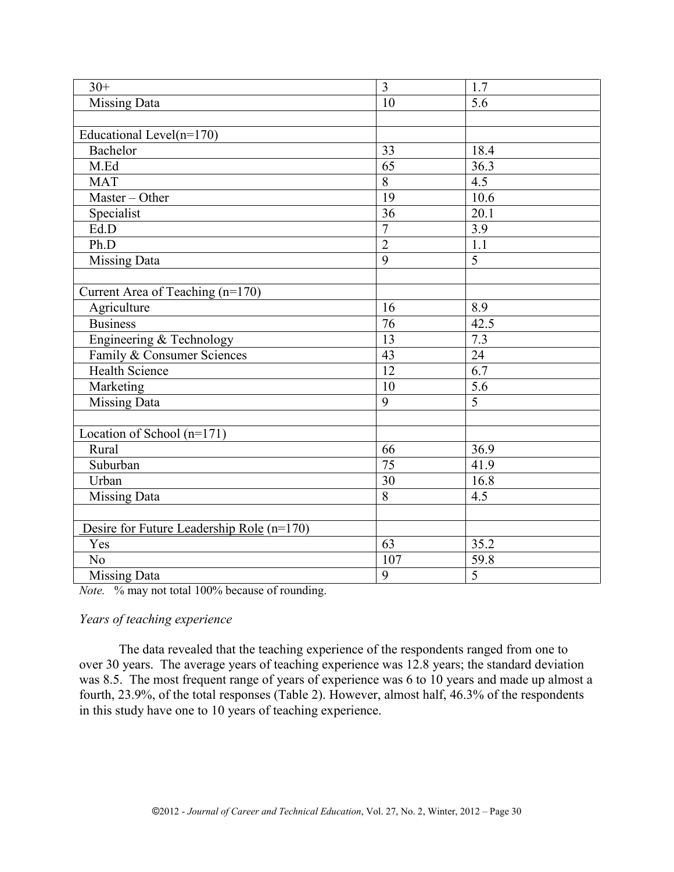| $30+$                                     | $\overline{3}$  | 1.7               |
|-------------------------------------------|-----------------|-------------------|
| <b>Missing Data</b>                       | $\overline{10}$ | $\overline{5.6}$  |
|                                           |                 |                   |
| Educational Level $(n=170)$               |                 |                   |
| Bachelor                                  | 33              | 18.4              |
| M.Ed                                      | 65              | $\overline{36.3}$ |
| <b>MAT</b>                                | 8               | 4.5               |
| Master - Other                            | $\overline{19}$ | 10.6              |
| Specialist                                | $\overline{36}$ | 20.1              |
| Ed.D                                      | $\overline{7}$  | 3.9               |
| Ph.D                                      | $\overline{2}$  | $\overline{1.1}$  |
| Missing Data                              | 9               | 5                 |
|                                           |                 |                   |
| Current Area of Teaching (n=170)          |                 |                   |
| Agriculture                               | 16              | 8.9               |
| <b>Business</b>                           | 76              | 42.5              |
| Engineering & Technology                  | $\overline{13}$ | 7.3               |
| Family & Consumer Sciences                | 43              | $\overline{24}$   |
| <b>Health Science</b>                     | $\overline{12}$ | $\overline{6.7}$  |
| Marketing                                 | 10              | $\overline{5.6}$  |
| <b>Missing Data</b>                       | $\overline{9}$  | $\overline{5}$    |
|                                           |                 |                   |
| Location of School (n=171)                |                 |                   |
| Rural                                     | 66              | 36.9              |
| Suburban                                  | 75              | 41.9              |
| Urban                                     | $\overline{30}$ | 16.8              |
| <b>Missing Data</b>                       | $\overline{8}$  | $\overline{4.5}$  |
|                                           |                 |                   |
| Desire for Future Leadership Role (n=170) |                 |                   |
| Yes                                       | $\overline{63}$ | 35.2              |
| N <sub>0</sub>                            | 107             | 59.8              |
| Missing Data                              | $\overline{9}$  | $\overline{5}$    |

*Note.* % may not total 100% because of rounding.

## *Years of teaching experience*

The data revealed that the teaching experience of the respondents ranged from one to over 30 years. The average years of teaching experience was 12.8 years; the standard deviation was 8.5. The most frequent range of years of experience was 6 to 10 years and made up almost a fourth, 23.9%, of the total responses (Table 2). However, almost half, 46.3% of the respondents in this study have one to 10 years of teaching experience.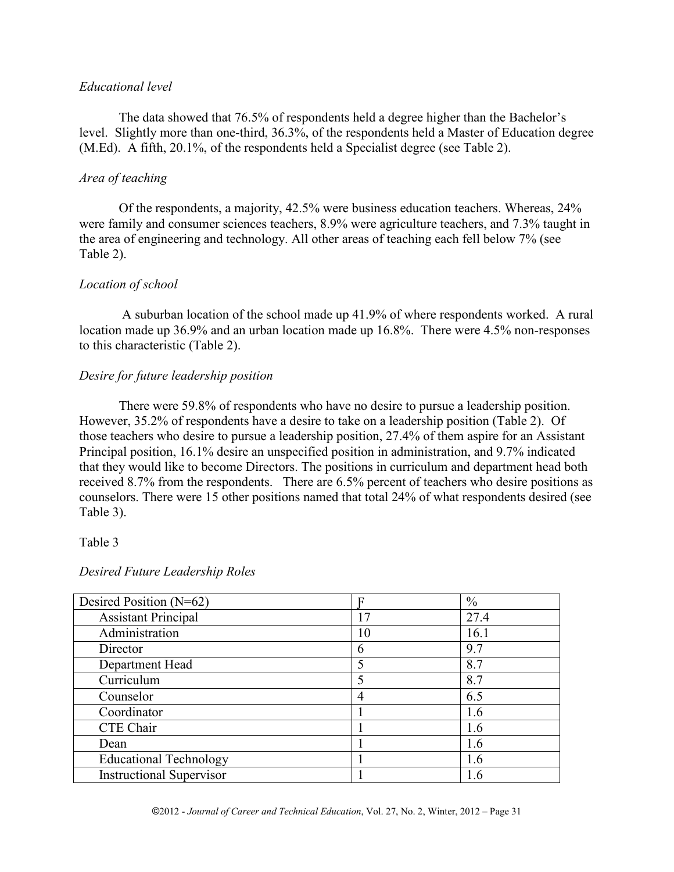### *Educational level*

The data showed that 76.5% of respondents held a degree higher than the Bachelor's level. Slightly more than one-third, 36.3%, of the respondents held a Master of Education degree (M.Ed). A fifth, 20.1%, of the respondents held a Specialist degree (see Table 2).

## *Area of teaching*

Of the respondents, a majority, 42.5% were business education teachers. Whereas, 24% were family and consumer sciences teachers, 8.9% were agriculture teachers, and 7.3% taught in the area of engineering and technology. All other areas of teaching each fell below 7% (see Table 2).

## *Location of school*

A suburban location of the school made up 41.9% of where respondents worked. A rural location made up 36.9% and an urban location made up 16.8%. There were 4.5% non-responses to this characteristic (Table 2).

### *Desire for future leadership position*

There were 59.8% of respondents who have no desire to pursue a leadership position. However, 35.2% of respondents have a desire to take on a leadership position (Table 2). Of those teachers who desire to pursue a leadership position, 27.4% of them aspire for an Assistant Principal position, 16.1% desire an unspecified position in administration, and 9.7% indicated that they would like to become Directors. The positions in curriculum and department head both received 8.7% from the respondents. There are 6.5% percent of teachers who desire positions as counselors. There were 15 other positions named that total 24% of what respondents desired (see Table 3).

### Table 3

| Desired Position $(N=62)$       |    | $\frac{0}{0}$ |
|---------------------------------|----|---------------|
| <b>Assistant Principal</b>      | 17 | 27.4          |
| Administration                  | 10 | 16.1          |
| Director                        | 6  | 9.7           |
| Department Head                 |    | 8.7           |
| Curriculum                      |    | 8.7           |
| Counselor                       | 4  | 6.5           |
| Coordinator                     |    | 1.6           |
| CTE Chair                       |    | 1.6           |
| Dean                            |    | 1.6           |
| <b>Educational Technology</b>   |    | 1.6           |
| <b>Instructional Supervisor</b> |    | 1.6           |

### *Desired Future Leadership Roles*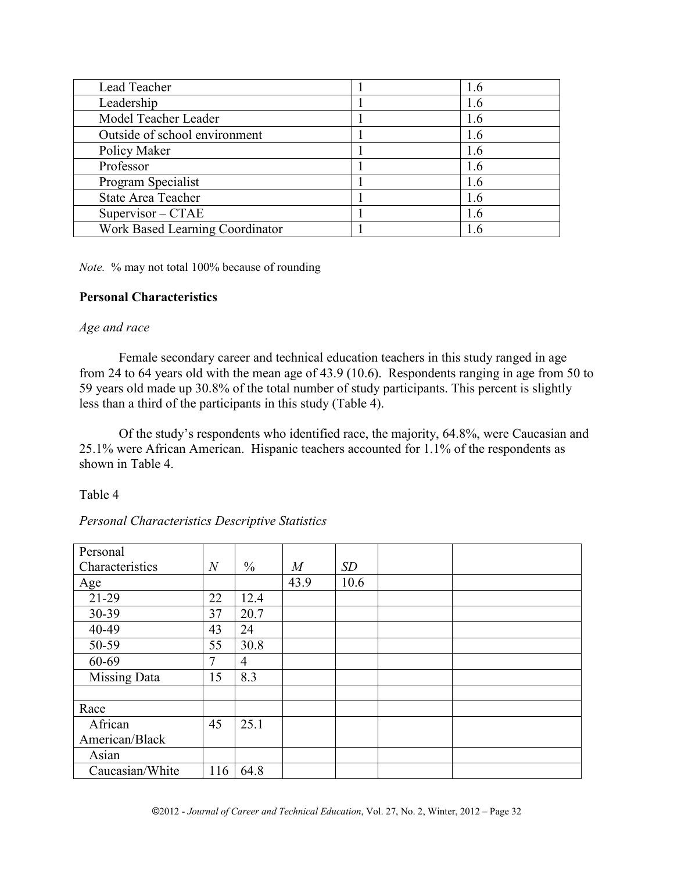| Lead Teacher                    | 1.6 |
|---------------------------------|-----|
| Leadership                      | 1.6 |
| Model Teacher Leader            | 1.6 |
| Outside of school environment   | 1.6 |
| Policy Maker                    | 1.6 |
| Professor                       | 1.6 |
| Program Specialist              | 1.6 |
| State Area Teacher              | 1.6 |
| $Supervisor - CTAE$             | 1.6 |
| Work Based Learning Coordinator | 1.6 |

*Note.* % may not total 100% because of rounding

## **Personal Characteristics**

### *Age and race*

Female secondary career and technical education teachers in this study ranged in age from 24 to 64 years old with the mean age of 43.9 (10.6). Respondents ranging in age from 50 to 59 years old made up 30.8% of the total number of study participants. This percent is slightly less than a third of the participants in this study (Table 4).

Of the study's respondents who identified race, the majority, 64.8%, were Caucasian and 25.1% were African American. Hispanic teachers accounted for 1.1% of the respondents as shown in Table 4.

Table 4

## *Personal Characteristics Descriptive Statistics*

| Personal            |                |                |                  |      |  |
|---------------------|----------------|----------------|------------------|------|--|
| Characteristics     | $\overline{N}$ | $\frac{0}{0}$  | $\boldsymbol{M}$ | SD   |  |
| Age                 |                |                | 43.9             | 10.6 |  |
| 21-29               | 22             | 12.4           |                  |      |  |
| 30-39               | 37             | 20.7           |                  |      |  |
| 40-49               | 43             | 24             |                  |      |  |
| 50-59               | 55             | 30.8           |                  |      |  |
| 60-69               | 7              | $\overline{4}$ |                  |      |  |
| <b>Missing Data</b> | 15             | 8.3            |                  |      |  |
|                     |                |                |                  |      |  |
| Race                |                |                |                  |      |  |
| African             | 45             | 25.1           |                  |      |  |
| American/Black      |                |                |                  |      |  |
| Asian               |                |                |                  |      |  |
| Caucasian/White     | 116            | 64.8           |                  |      |  |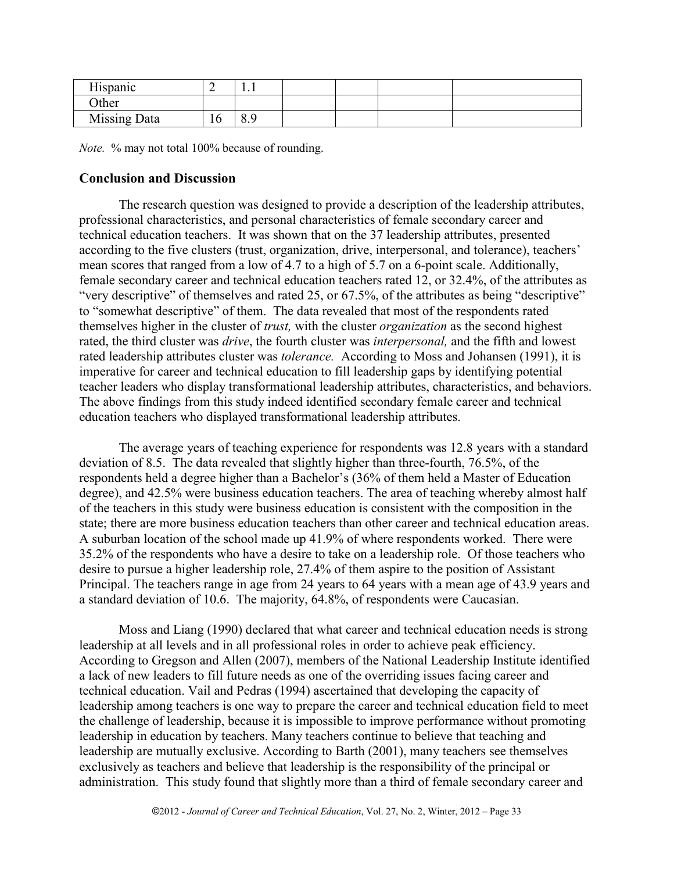| <del>. .</del> .<br><b>Hispanic</b> | ∽  | 1.1            |  |  |
|-------------------------------------|----|----------------|--|--|
| <b>Other</b>                        |    |                |  |  |
| Missing Data                        | 10 | Q<br>$\circ$ . |  |  |

*Note.* % may not total 100% because of rounding.

## **Conclusion and Discussion**

The research question was designed to provide a description of the leadership attributes, professional characteristics, and personal characteristics of female secondary career and technical education teachers. It was shown that on the 37 leadership attributes, presented according to the five clusters (trust, organization, drive, interpersonal, and tolerance), teachers' mean scores that ranged from a low of 4.7 to a high of 5.7 on a 6-point scale. Additionally, female secondary career and technical education teachers rated 12, or 32.4%, of the attributes as "very descriptive" of themselves and rated 25, or 67.5%, of the attributes as being "descriptive" to "somewhat descriptive" of them. The data revealed that most of the respondents rated themselves higher in the cluster of *trust,* with the cluster *organization* as the second highest rated, the third cluster was *drive*, the fourth cluster was *interpersonal,* and the fifth and lowest rated leadership attributes cluster was *tolerance.* According to Moss and Johansen (1991), it is imperative for career and technical education to fill leadership gaps by identifying potential teacher leaders who display transformational leadership attributes, characteristics, and behaviors. The above findings from this study indeed identified secondary female career and technical education teachers who displayed transformational leadership attributes.

The average years of teaching experience for respondents was 12.8 years with a standard deviation of 8.5. The data revealed that slightly higher than three-fourth, 76.5%, of the respondents held a degree higher than a Bachelor's (36% of them held a Master of Education degree), and 42.5% were business education teachers. The area of teaching whereby almost half of the teachers in this study were business education is consistent with the composition in the state; there are more business education teachers than other career and technical education areas. A suburban location of the school made up 41.9% of where respondents worked. There were 35.2% of the respondents who have a desire to take on a leadership role. Of those teachers who desire to pursue a higher leadership role, 27.4% of them aspire to the position of Assistant Principal. The teachers range in age from 24 years to 64 years with a mean age of 43.9 years and a standard deviation of 10.6. The majority, 64.8%, of respondents were Caucasian.

Moss and Liang (1990) declared that what career and technical education needs is strong leadership at all levels and in all professional roles in order to achieve peak efficiency. According to Gregson and Allen (2007), members of the National Leadership Institute identified a lack of new leaders to fill future needs as one of the overriding issues facing career and technical education. Vail and Pedras (1994) ascertained that developing the capacity of leadership among teachers is one way to prepare the career and technical education field to meet the challenge of leadership, because it is impossible to improve performance without promoting leadership in education by teachers. Many teachers continue to believe that teaching and leadership are mutually exclusive. According to Barth (2001), many teachers see themselves exclusively as teachers and believe that leadership is the responsibility of the principal or administration. This study found that slightly more than a third of female secondary career and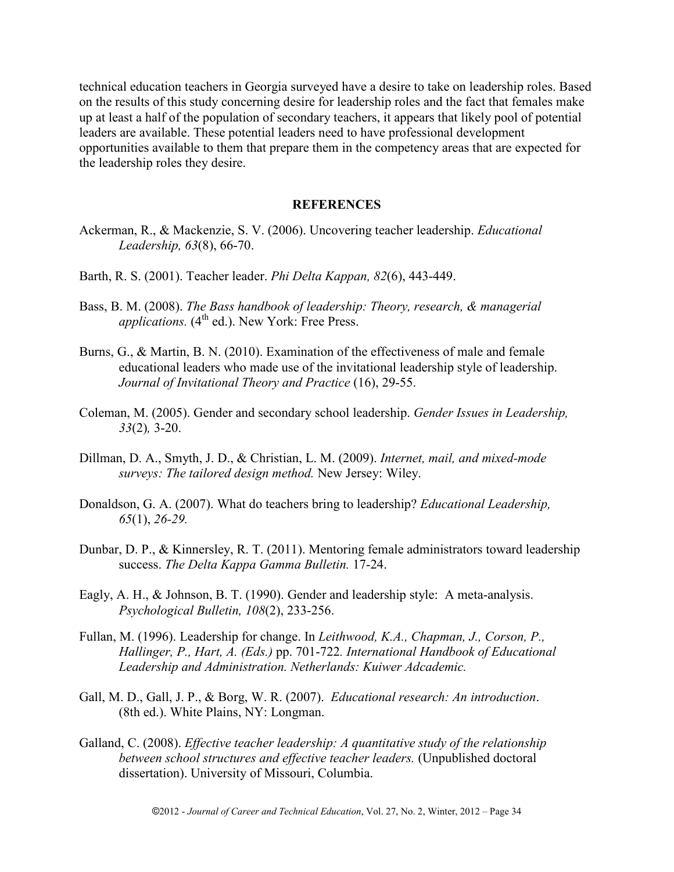technical education teachers in Georgia surveyed have a desire to take on leadership roles. Based on the results of this study concerning desire for leadership roles and the fact that females make up at least a half of the population of secondary teachers, it appears that likely pool of potential leaders are available. These potential leaders need to have professional development opportunities available to them that prepare them in the competency areas that are expected for the leadership roles they desire.

#### **REFERENCES**

- Ackerman, R., & Mackenzie, S. V. (2006). Uncovering teacher leadership. *Educational Leadership, 63*(8), 66-70.
- Barth, R. S. (2001). Teacher leader. *Phi Delta Kappan, 82*(6), 443-449.
- Bass, B. M. (2008). *The Bass handbook of leadership: Theory, research, & managerial applications.* (4<sup>th</sup> ed.). New York: Free Press.
- Burns, G., & Martin, B. N. (2010). Examination of the effectiveness of male and female educational leaders who made use of the invitational leadership style of leadership. *Journal of Invitational Theory and Practice* (16), 29-55.
- Coleman, M. (2005). Gender and secondary school leadership. *Gender Issues in Leadership, 33*(2)*,* 3-20.
- Dillman, D. A., Smyth, J. D., & Christian, L. M. (2009). *Internet, mail, and mixed-mode surveys: The tailored design method.* New Jersey: Wiley.
- Donaldson, G. A. (2007). What do teachers bring to leadership? *Educational Leadership, 65*(1), *26-29.*
- Dunbar, D. P., & Kinnersley, R. T. (2011). Mentoring female administrators toward leadership success. *The Delta Kappa Gamma Bulletin.* 17-24.
- Eagly, A. H., & Johnson, B. T. (1990). Gender and leadership style: A meta-analysis. *Psychological Bulletin, 108*(2), 233-256.
- Fullan, M. (1996). Leadership for change. In *Leithwood, K.A., Chapman, J., Corson, P., Hallinger, P., Hart, A. (Eds.)* pp. 701-722*. International Handbook of Educational Leadership and Administration. Netherlands: Kuiwer Adcademic.*
- Gall, M. D., Gall, J. P., & Borg, W. R. (2007). *Educational research: An introduction*. (8th ed.). White Plains, NY: Longman.
- Galland, C. (2008). *Effective teacher leadership: A quantitative study of the relationship between school structures and effective teacher leaders.* (Unpublished doctoral dissertation). University of Missouri, Columbia.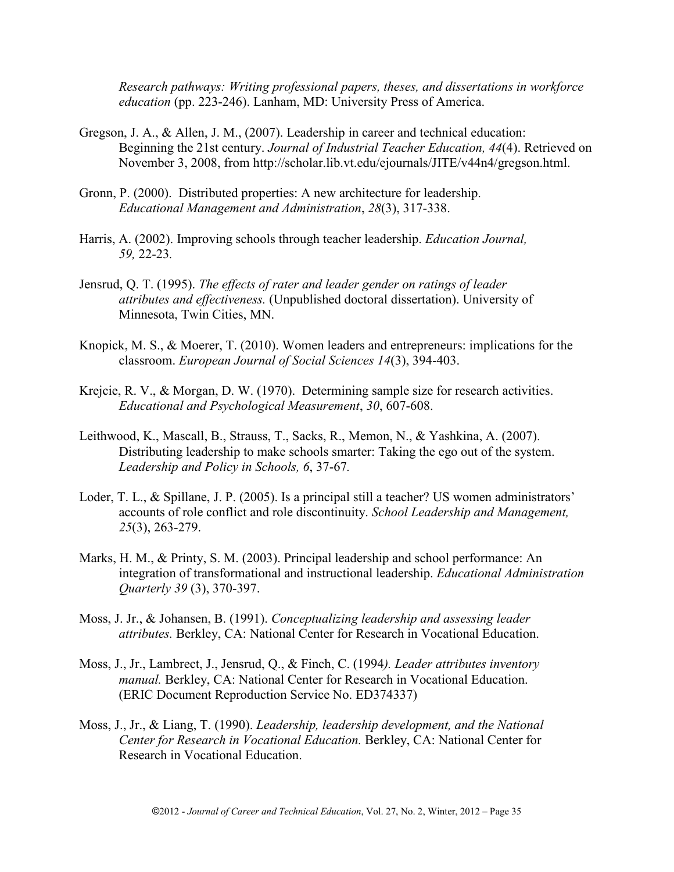*Research pathways: Writing professional papers, theses, and dissertations in workforce education* (pp. 223-246). Lanham, MD: University Press of America.

- Gregson, J. A., & Allen, J. M., (2007). Leadership in career and technical education: Beginning the 21st century. *Journal of Industrial Teacher Education, 44*(4). Retrieved on November 3, 2008, from http://scholar.lib.vt.edu/ejournals/JITE/v44n4/gregson.html.
- Gronn, P. (2000). Distributed properties: A new architecture for leadership. *Educational Management and Administration*, *28*(3), 317-338.
- Harris, A. (2002). Improving schools through teacher leadership. *Education Journal, 59,* 22-23*.*
- Jensrud, Q. T. (1995). *The effects of rater and leader gender on ratings of leader attributes and effectiveness.* (Unpublished doctoral dissertation). University of Minnesota, Twin Cities, MN.
- Knopick, M. S., & Moerer, T. (2010). Women leaders and entrepreneurs: implications for the classroom. *European Journal of Social Sciences 14*(3), 394-403.
- Krejcie, R. V., & Morgan, D. W. (1970). Determining sample size for research activities. *Educational and Psychological Measurement*, *30*, 607-608.
- Leithwood, K., Mascall, B., Strauss, T., Sacks, R., Memon, N., & Yashkina, A. (2007). Distributing leadership to make schools smarter: Taking the ego out of the system. *Leadership and Policy in Schools, 6*, 37-67*.*
- Loder, T. L., & Spillane, J. P. (2005). Is a principal still a teacher? US women administrators' accounts of role conflict and role discontinuity. *School Leadership and Management, 25*(3), 263-279.
- Marks, H. M., & Printy, S. M. (2003). Principal leadership and school performance: An integration of transformational and instructional leadership. *Educational Administration Quarterly 39* (3), 370-397.
- Moss, J. Jr., & Johansen, B. (1991). *Conceptualizing leadership and assessing leader attributes.* Berkley, CA: National Center for Research in Vocational Education.
- Moss, J., Jr., Lambrect, J., Jensrud, Q., & Finch, C. (1994*). Leader attributes inventory manual.* Berkley, CA: National Center for Research in Vocational Education. (ERIC Document Reproduction Service No. ED374337)
- Moss, J., Jr., & Liang, T. (1990). *Leadership, leadership development, and the National Center for Research in Vocational Education.* Berkley, CA: National Center for Research in Vocational Education.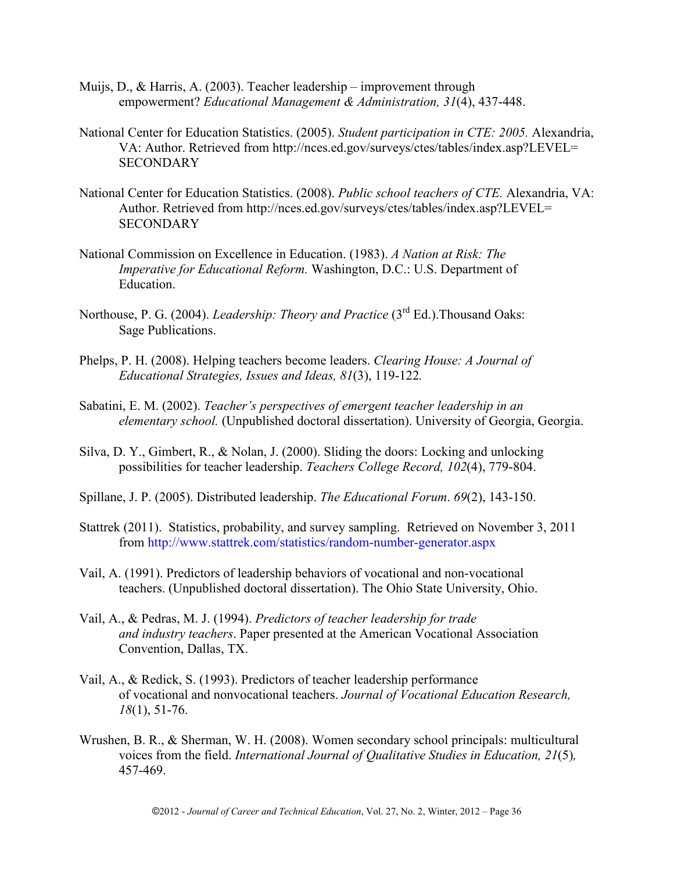- Muijs, D., & Harris, A. (2003). Teacher leadership improvement through empowerment? *Educational Management & Administration, 31*(4), 437-448.
- National Center for Education Statistics. (2005). *Student participation in CTE: 2005.* Alexandria, VA: Author. Retrieved from http://nces.ed.gov/surveys/ctes/tables/index.asp?LEVEL= **SECONDARY**
- National Center for Education Statistics. (2008). *Public school teachers of CTE.* Alexandria, VA: Author. Retrieved from http://nces.ed.gov/surveys/ctes/tables/index.asp?LEVEL= **SECONDARY**
- National Commission on Excellence in Education. (1983). *A Nation at Risk: The Imperative for Educational Reform.* Washington, D.C.: U.S. Department of Education.
- Northouse, P. G. (2004). *Leadership: Theory and Practice* (3<sup>rd</sup> Ed.). Thousand Oaks: Sage Publications.
- Phelps, P. H. (2008). Helping teachers become leaders. *Clearing House: A Journal of Educational Strategies, Issues and Ideas, 81*(3), 119-122*.*
- Sabatini, E. M. (2002). *Teacher's perspectives of emergent teacher leadership in an elementary school.* (Unpublished doctoral dissertation). University of Georgia, Georgia.
- Silva, D. Y., Gimbert, R., & Nolan, J. (2000). Sliding the doors: Locking and unlocking possibilities for teacher leadership. *Teachers College Record, 102*(4), 779-804.
- Spillane, J. P. (2005). Distributed leadership. *The Educational Forum*. *69*(2), 143-150.
- Stattrek (2011). Statistics, probability, and survey sampling. Retrieved on November 3, 2011 from<http://www.stattrek.com/statistics/random-number-generator.aspx>
- Vail, A. (1991). Predictors of leadership behaviors of vocational and non-vocational teachers. (Unpublished doctoral dissertation). The Ohio State University, Ohio.
- Vail, A., & Pedras, M. J. (1994). *Predictors of teacher leadership for trade and industry teachers*. Paper presented at the American Vocational Association Convention, Dallas, TX.
- Vail, A., & Redick, S. (1993). Predictors of teacher leadership performance of vocational and nonvocational teachers. *Journal of Vocational Education Research, 18*(1), 51-76.
- Wrushen, B. R., & Sherman, W. H. (2008). Women secondary school principals: multicultural voices from the field. *International Journal of Qualitative Studies in Education, 21*(5)*,*  457-469.